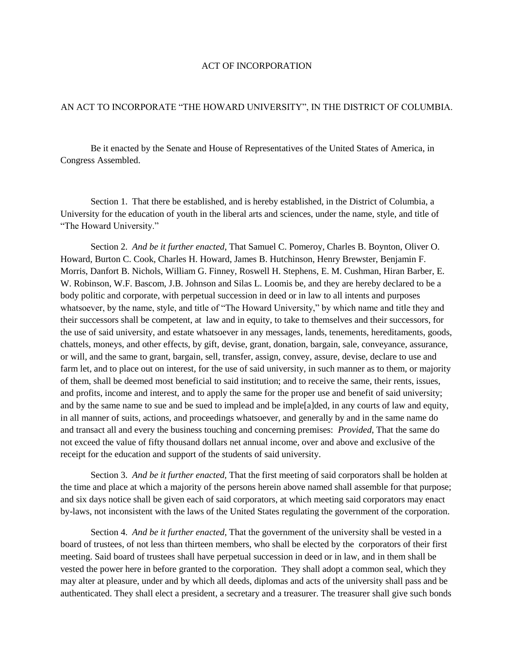## ACT OF INCORPORATION

## AN ACT TO INCORPORATE "THE HOWARD UNIVERSITY", IN THE DISTRICT OF COLUMBIA.

Be it enacted by the Senate and House of Representatives of the United States of America, in Congress Assembled.

Section 1. That there be established, and is hereby established, in the District of Columbia, a University for the education of youth in the liberal arts and sciences, under the name, style, and title of "The Howard University."

Section 2. *And be it further enacted*, That Samuel C. Pomeroy, Charles B. Boynton, Oliver O. Howard, Burton C. Cook, Charles H. Howard, James B. Hutchinson, Henry Brewster, Benjamin F. Morris, Danfort B. Nichols, William G. Finney, Roswell H. Stephens, E. M. Cushman, Hiran Barber, E. W. Robinson, W.F. Bascom, J.B. Johnson and Silas L. Loomis be, and they are hereby declared to be a body politic and corporate, with perpetual succession in deed or in law to all intents and purposes whatsoever, by the name, style, and title of "The Howard University," by which name and title they and their successors shall be competent, at law and in equity, to take to themselves and their successors, for the use of said university, and estate whatsoever in any messages, lands, tenements, hereditaments, goods, chattels, moneys, and other effects, by gift, devise, grant, donation, bargain, sale, conveyance, assurance, or will, and the same to grant, bargain, sell, transfer, assign, convey, assure, devise, declare to use and farm let, and to place out on interest, for the use of said university, in such manner as to them, or majority of them, shall be deemed most beneficial to said institution; and to receive the same, their rents, issues, and profits, income and interest, and to apply the same for the proper use and benefit of said university; and by the same name to sue and be sued to implead and be imple[a]ded, in any courts of law and equity, in all manner of suits, actions, and proceedings whatsoever, and generally by and in the same name do and transact all and every the business touching and concerning premises: *Provided*, That the same do not exceed the value of fifty thousand dollars net annual income, over and above and exclusive of the receipt for the education and support of the students of said university.

Section 3. *And be it further enacted,* That the first meeting of said corporators shall be holden at the time and place at which a majority of the persons herein above named shall assemble for that purpose; and six days notice shall be given each of said corporators, at which meeting said corporators may enact by-laws, not inconsistent with the laws of the United States regulating the government of the corporation.

Section 4. *And be it further enacted*, That the government of the university shall be vested in a board of trustees, of not less than thirteen members, who shall be elected by the corporators of their first meeting. Said board of trustees shall have perpetual succession in deed or in law, and in them shall be vested the power here in before granted to the corporation. They shall adopt a common seal, which they may alter at pleasure, under and by which all deeds, diplomas and acts of the university shall pass and be authenticated. They shall elect a president, a secretary and a treasurer. The treasurer shall give such bonds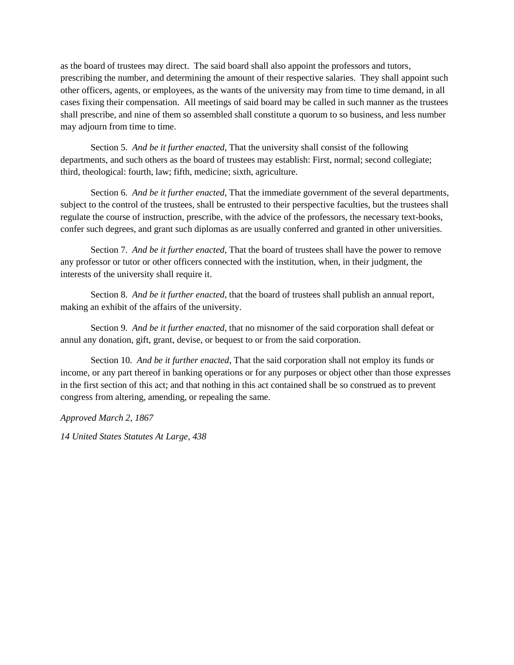as the board of trustees may direct. The said board shall also appoint the professors and tutors, prescribing the number, and determining the amount of their respective salaries. They shall appoint such other officers, agents, or employees, as the wants of the university may from time to time demand, in all cases fixing their compensation. All meetings of said board may be called in such manner as the trustees shall prescribe, and nine of them so assembled shall constitute a quorum to so business, and less number may adjourn from time to time.

Section 5. *And be it further enacted*, That the university shall consist of the following departments, and such others as the board of trustees may establish: First, normal; second collegiate; third, theological: fourth, law; fifth, medicine; sixth, agriculture.

Section 6. *And be it further enacted*, That the immediate government of the several departments, subject to the control of the trustees, shall be entrusted to their perspective faculties, but the trustees shall regulate the course of instruction, prescribe, with the advice of the professors, the necessary text-books, confer such degrees, and grant such diplomas as are usually conferred and granted in other universities.

Section 7. *And be it further enacted*, That the board of trustees shall have the power to remove any professor or tutor or other officers connected with the institution, when, in their judgment, the interests of the university shall require it.

Section 8. *And be it further enacted*, that the board of trustees shall publish an annual report, making an exhibit of the affairs of the university.

Section 9. *And be it further enacted*, that no misnomer of the said corporation shall defeat or annul any donation, gift, grant, devise, or bequest to or from the said corporation.

Section 10. *And be it further enacted*, That the said corporation shall not employ its funds or income, or any part thereof in banking operations or for any purposes or object other than those expresses in the first section of this act; and that nothing in this act contained shall be so construed as to prevent congress from altering, amending, or repealing the same.

*Approved March 2, 1867*

*14 United States Statutes At Large, 438*